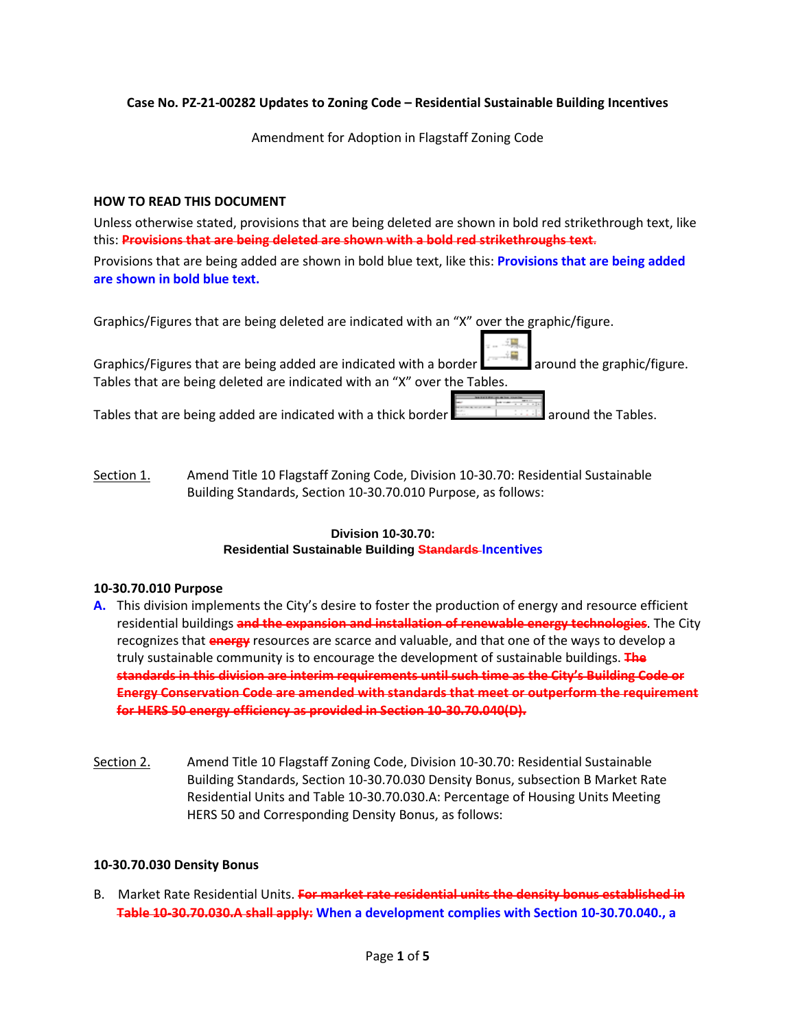### **Case No. PZ-21-00282 Updates to Zoning Code – Residential Sustainable Building Incentives**

Amendment for Adoption in Flagstaff Zoning Code

### **HOW TO READ THIS DOCUMENT**

Unless otherwise stated, provisions that are being deleted are shown in bold red strikethrough text, like this: **Provisions that are being deleted are shown with a bold red strikethroughs text**.

Provisions that are being added are shown in bold blue text, like this: **Provisions that are being added are shown in bold blue text.**

| Graphics/Figures that are being deleted are indicated with an "X" over the graphic/figure.           |
|------------------------------------------------------------------------------------------------------|
| Graphics/Figures that are being added are indicated with a border and are around the graphic/figure. |
| Tables that are being deleted are indicated with an "X" over the Tables.                             |
| Tables that are being added are indicated with a thick border <b>Figure 1998</b> around the Tables.  |

Section 1. Amend Title 10 Flagstaff Zoning Code, Division 10-30.70: Residential Sustainable Building Standards, Section 10-30.70.010 Purpose, as follows:

# **Division 10-30.70: Residential Sustainable Building Standards Incentives**

### **10-30.70.010 Purpose**

- **A.** This division implements the City's desire to foster the production of energy and resource efficient residential buildings **and the expansion and installation of renewable energy technologies**. The City recognizes that **energy** resources are scarce and valuable, and that one of the ways to develop a truly sustainable community is to encourage the development of sustainable buildings. **The standards in this division are interim requirements until such time as the City's Building Code or Energy Conservation Code are amended with standards that meet or outperform the requirement for HERS 50 energy efficiency as provided in Section 10-30.70.040(D).**
- Section 2. Amend Title 10 Flagstaff Zoning Code, Division 10-30.70: Residential Sustainable Building Standards, Section 10-30.70.030 Density Bonus, subsection B Market Rate Residential Units and Table 10-30.70.030.A: Percentage of Housing Units Meeting HERS 50 and Corresponding Density Bonus, as follows:

### **10-30.70.030 Density Bonus**

B. Market Rate Residential Units. **For market rate residential units the density bonus established in Table 10-30.70.030.A shall apply: When a development complies with Section 10-30.70.040., a**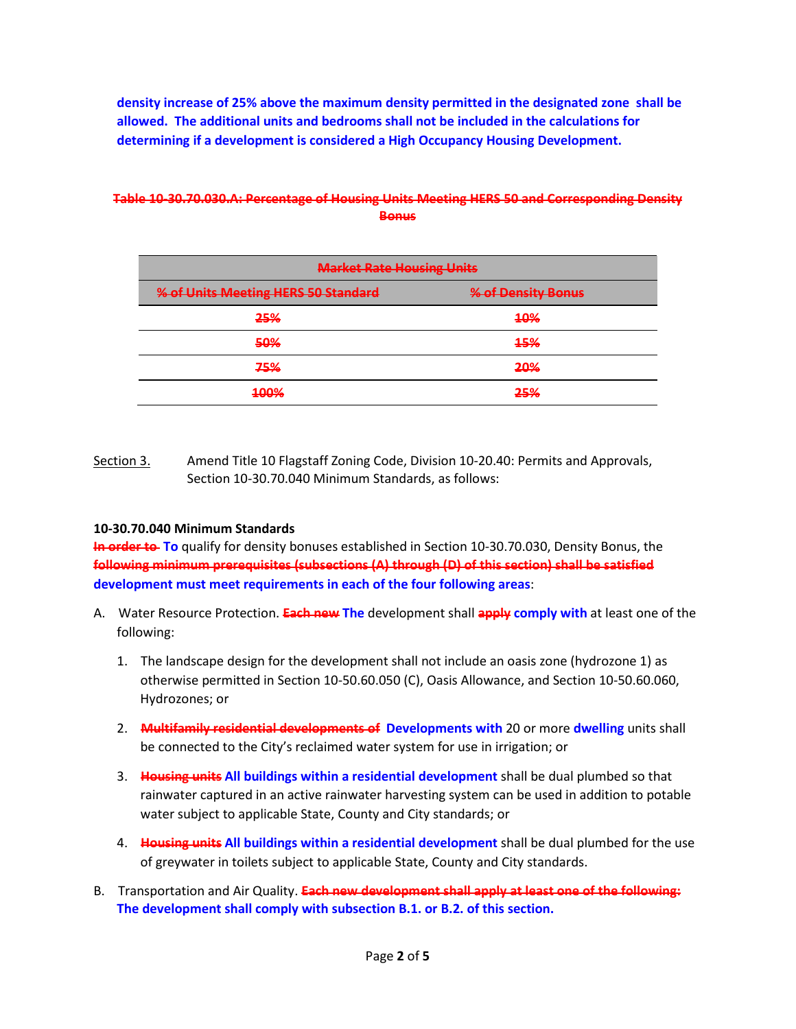**density increase of 25% above the maximum density permitted in the designated zone shall be allowed. The additional units and bedrooms shall not be included in the calculations for determining if a development is considered a High Occupancy Housing Development.**

| <b>Market Rate Housing Units</b>    |                    |  |
|-------------------------------------|--------------------|--|
| % of Units Meeting HERS 50 Standard | % of Density Bonus |  |
| 25%                                 | 40%                |  |
| 50%                                 | 15%                |  |
| 75%                                 | 20%                |  |
| 100%                                | 25%                |  |

### **Table 10-30.70.030.A: Percentage of Housing Units Meeting HERS 50 and Corresponding Density Bonus**

Section 3. Amend Title 10 Flagstaff Zoning Code, Division 10-20.40: Permits and Approvals, Section 10-30.70.040 Minimum Standards, as follows:

### **10-30.70.040 Minimum Standards**

**In order to**-To qualify for density bonuses established in Section 10-30.70.030, Density Bonus, the **following minimum prerequisites (subsections (A) through (D) of this section) shall be satisfied development must meet requirements in each of the four following areas**:

- A. Water Resource Protection. **Each new The** development shall **apply comply with** at least one of the following:
	- 1. The landscape design for the development shall not include an oasis zone (hydrozone 1) as otherwise permitted in Section 10-50.60.050 (C), Oasis Allowance, and Section 10-50.60.060, Hydrozones; or
	- 2. **Multifamily residential developments of Developments with** 20 or more **dwelling** units shall be connected to the City's reclaimed water system for use in irrigation; or
	- 3. **Housing units All buildings within a residential development** shall be dual plumbed so that rainwater captured in an active rainwater harvesting system can be used in addition to potable water subject to applicable State, County and City standards; or
	- 4. **Housing units All buildings within a residential development** shall be dual plumbed for the use of greywater in toilets subject to applicable State, County and City standards.
- B. Transportation and Air Quality. **Each new development shall apply at least one of the following: The development shall comply with subsection B.1. or B.2. of this section.**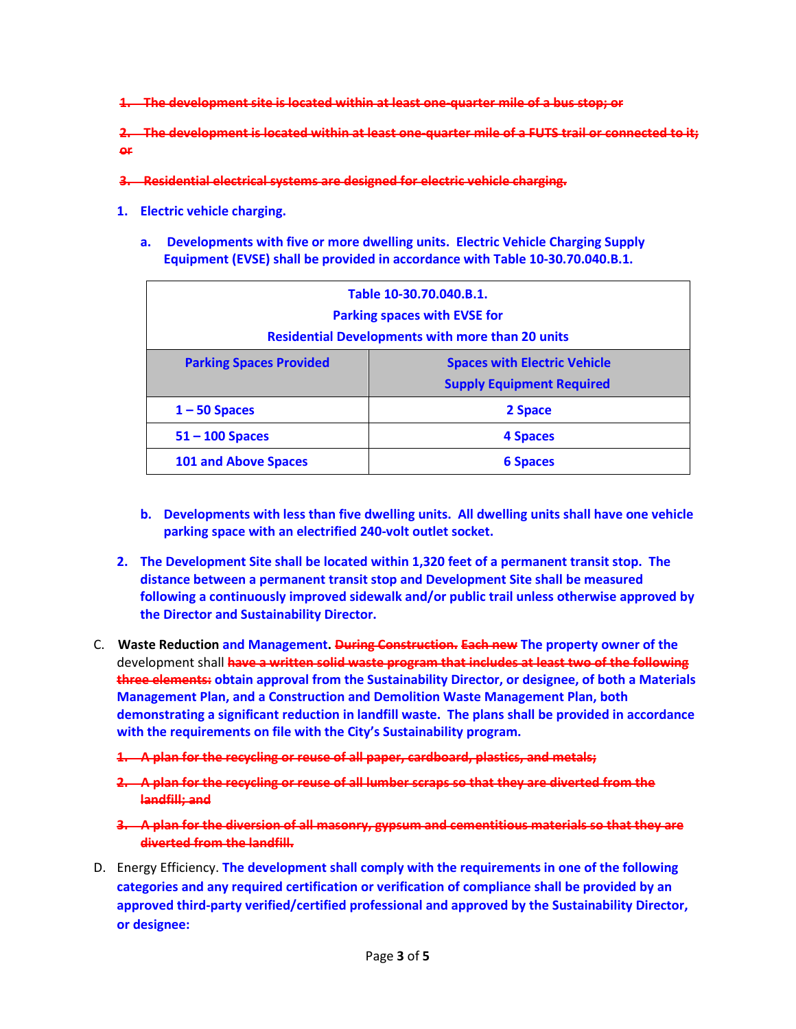**1. The development site is located within at least one-quarter mile of a bus stop; or**

**2. The development is located within at least one-quarter mile of a FUTS trail or connected to it; or**

- **3. Residential electrical systems are designed for electric vehicle charging.**
- **1. Electric vehicle charging.**
	- **a. Developments with five or more dwelling units. Electric Vehicle Charging Supply Equipment (EVSE) shall be provided in accordance with Table 10-30.70.040.B.1.**

| Table 10-30.70.040.B.1.<br><b>Parking spaces with EVSE for</b><br><b>Residential Developments with more than 20 units</b> |                                                                         |  |
|---------------------------------------------------------------------------------------------------------------------------|-------------------------------------------------------------------------|--|
| <b>Parking Spaces Provided</b>                                                                                            | <b>Spaces with Electric Vehicle</b><br><b>Supply Equipment Required</b> |  |
| $1 - 50$ Spaces                                                                                                           | 2 Space                                                                 |  |
| $51 - 100$ Spaces                                                                                                         | 4 Spaces                                                                |  |
| <b>101 and Above Spaces</b>                                                                                               | <b>6 Spaces</b>                                                         |  |

- **b. Developments with less than five dwelling units. All dwelling units shall have one vehicle parking space with an electrified 240-volt outlet socket.**
- **2. The Development Site shall be located within 1,320 feet of a permanent transit stop. The distance between a permanent transit stop and Development Site shall be measured following a continuously improved sidewalk and/or public trail unless otherwise approved by the Director and Sustainability Director.**
- C. **Waste Reduction and Management. During Construction. Each new The property owner of the** development shall **have a written solid waste program that includes at least two of the following three elements: obtain approval from the Sustainability Director, or designee, of both a Materials Management Plan, and a Construction and Demolition Waste Management Plan, both demonstrating a significant reduction in landfill waste. The plans shall be provided in accordance with the requirements on file with the City's Sustainability program.** 
	- **1. A plan for the recycling or reuse of all paper, cardboard, plastics, and metals;**
	- **2. A plan for the recycling or reuse of all lumber scraps so that they are diverted from the landfill; and**
	- **3. A plan for the diversion of all masonry, gypsum and cementitious materials so that they are diverted from the landfill.**
- D. Energy Efficiency. **The development shall comply with the requirements in one of the following categories and any required certification or verification of compliance shall be provided by an approved third-party verified/certified professional and approved by the Sustainability Director, or designee:**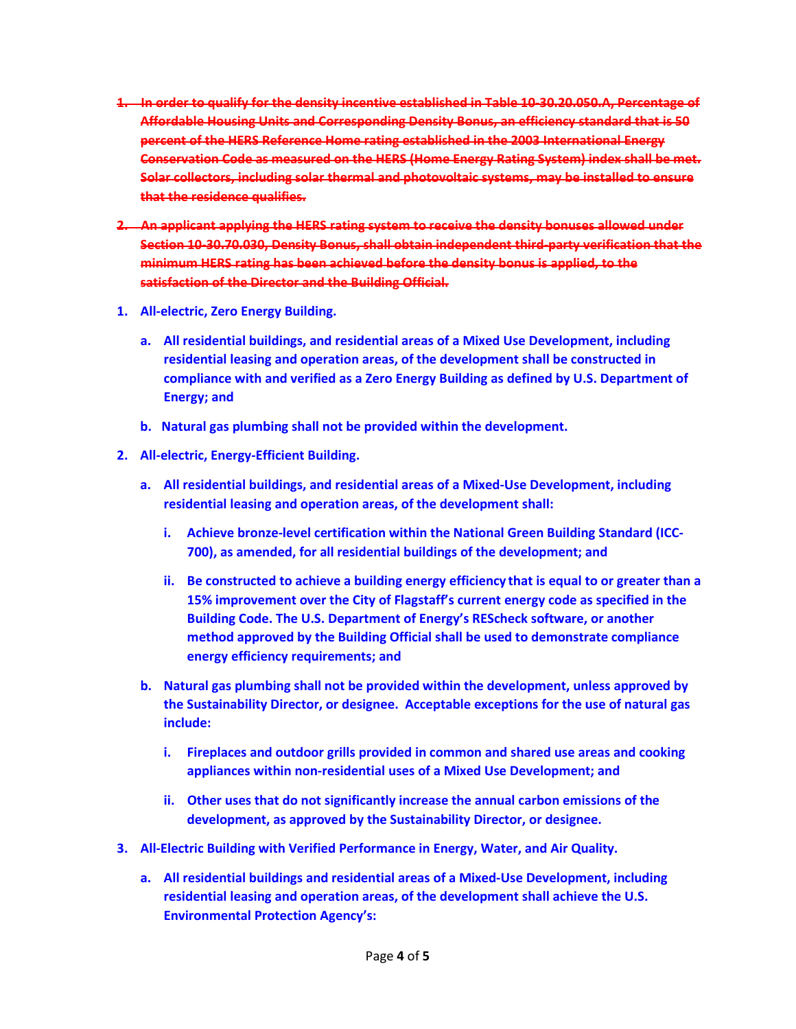- **1. In order to qualify for the density incentive established in Table 10-30.20.050.A, Percentage of Affordable Housing Units and Corresponding Density Bonus, an efficiency standard that is 50 percent of the HERS Reference Home rating established in the 2003 International Energy Conservation Code as measured on the HERS (Home Energy Rating System) index shall be met. Solar collectors, including solar thermal and photovoltaic systems, may be installed to ensure that the residence qualifies.**
- **2. An applicant applying the HERS rating system to receive the density bonuses allowed under Section 10-30.70.030, Density Bonus, shall obtain independent third-party verification that the minimum HERS rating has been achieved before the density bonus is applied, to the satisfaction of the Director and the Building Official.**
- **1. All-electric, Zero Energy Building.**
	- **a. All residential buildings, and residential areas of a Mixed Use Development, including residential leasing and operation areas, of the development shall be constructed in compliance with and verified as a Zero Energy Building as defined by U.S. Department of Energy; and**
	- **b. Natural gas plumbing shall not be provided within the development.**
- **2. All-electric, Energy-Efficient Building.**
	- **a. All residential buildings, and residential areas of a Mixed-Use Development, including residential leasing and operation areas, of the development shall:**
		- **i. Achieve bronze-level certification within the National Green Building Standard (ICC-700), as amended, for all residential buildings of the development; and**
		- **ii. Be constructed to achieve a building energy efficiency that is equal to or greater than a 15% improvement over the City of Flagstaff's current energy code as specified in the Building Code. The U.S. Department of Energy's REScheck software, or another method approved by the Building Official shall be used to demonstrate compliance energy efficiency requirements; and**
	- **b. Natural gas plumbing shall not be provided within the development, unless approved by the Sustainability Director, or designee. Acceptable exceptions for the use of natural gas include:**
		- **i. Fireplaces and outdoor grills provided in common and shared use areas and cooking appliances within non-residential uses of a Mixed Use Development; and**
		- **ii. Other uses that do not significantly increase the annual carbon emissions of the development, as approved by the Sustainability Director, or designee.**
- **3. All-Electric Building with Verified Performance in Energy, Water, and Air Quality.**
	- **a. All residential buildings and residential areas of a Mixed-Use Development, including residential leasing and operation areas, of the development shall achieve the U.S. Environmental Protection Agency's:**